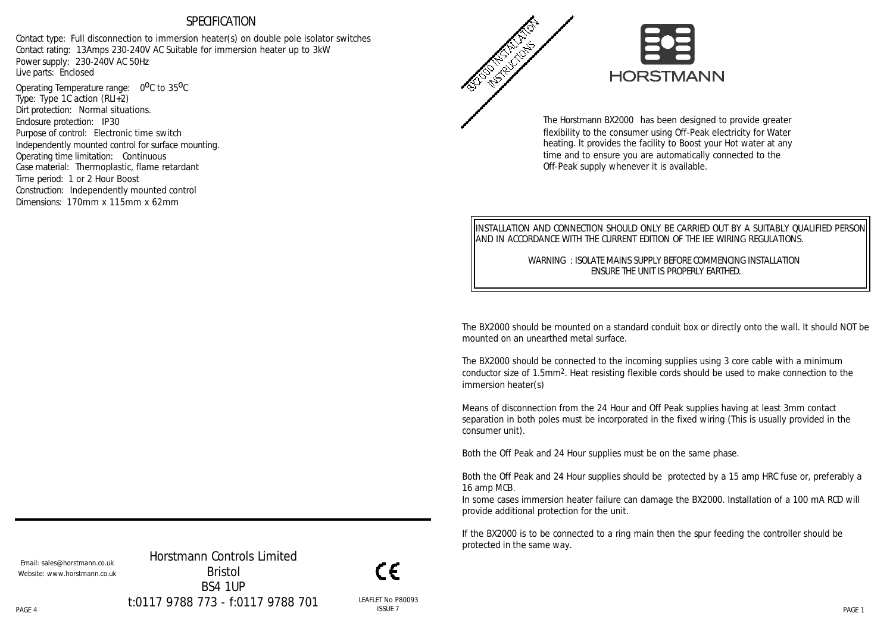### SPECIFICATION

Contact type: Full disconnection to immersion heater(s) on double pole isolator switches Contact rating: 13Amps 230-240V AC Suitable for immersion heater up to 3kW Power supply: 230-240V AC 50Hz Live parts: Enclosed

Operating Temperature range: 0<sup>0</sup>C to 35<sup>0</sup>C Type: Type 1C action (RLI+2) Dirt protection: Normal situations. Enclosure protection: IP30 Purpose of control: Electronic time switch Independently mounted control for surface mounting. Operating time limitation: Continuous Case material: Thermoplastic, flame retardant Time period: 1 or 2 Hour Boost Construction: Independently mounted control Dimensions: 170mm x 115mm x 62mm



The Horstmann BX2000 has been designed to provide greater flexibility to the consumer using Off-Peak electricity for Water heating. It provides the facility to Boost your Hot water at any time and to ensure you are automatically connected to the Off-Peak supply whenever it is available.

INSTALLATION AND CONNECTION SHOULD ONLY BE CARRIED OUT BY A SUITABLY QUALIFIED PERSON AND IN ACCORDANCE WITH THE CURRENT EDITION OF THE IEE WIRING REGULATIONS.

> WARNING : ISOLATE MAINS SUPPLY BEFORE COMMENCING INSTALLATION ENSURE THE UNIT IS PROPERLY EARTHED.

The BX2000 should be mounted on a standard conduit box or directly onto the wall. It should NOT be mounted on an unearthed metal surface.

The BX2000 should be connected to the incoming supplies using 3 core cable with a minimum conductor size of 1.5mm2. Heat resisting flexible cords should be used to make connection to the immersion heater(s)

Means of disconnection from the 24 Hour and Off Peak supplies having at least 3mm contact separation in both poles must be incorporated in the fixed wiring (This is usually provided in the consumer unit).

Both the Off Peak and 24 Hour supplies must be on the same phase.

Both the Off Peak and 24 Hour supplies should be protected by a 15 amp HRC fuse or, preferably a 16 amp MCB.

In some cases immersion heater failure can damage the BX2000. Installation of a 100 mA RCD will provide additional protection for the unit.

If the BX2000 is to be connected to a ring main then the spur feeding the controller should be protected in the same way.

Email: sales@horstmann.co.uk Website: www.horstmann.co.uk

PAGE 4 PAGE 1 Horstmann Controls Limited Bristol BS4 1UP t:0117 9788 773 - f:0117 9788 701